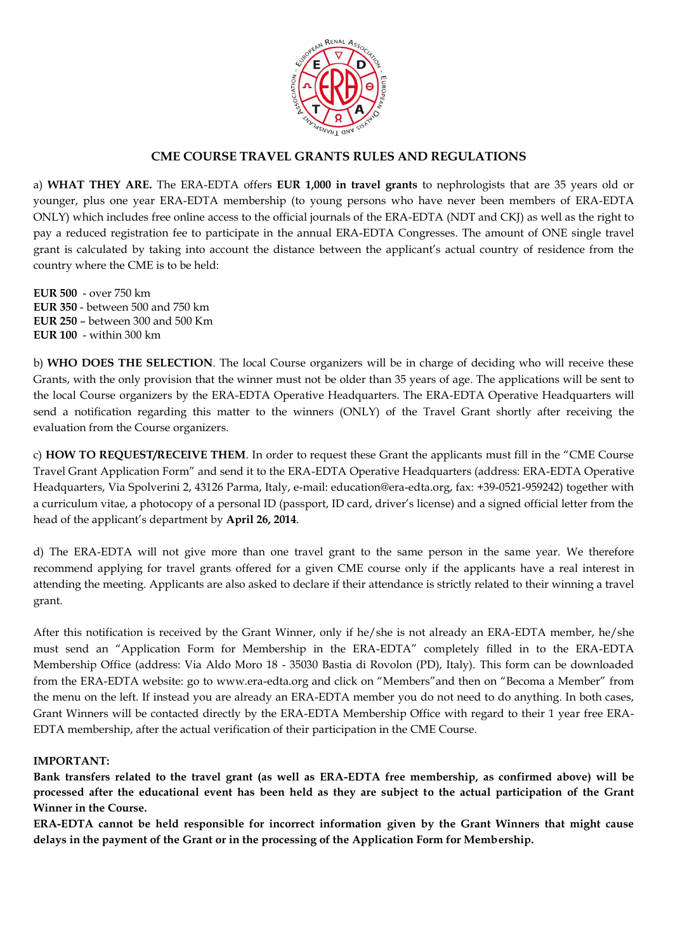

## **CME COURSE TRAVEL GRANTS RULES AND REGULATIONS**

a) **WHAT THEY ARE.** The ERA-EDTA offers **EUR 1,000 in travel grants** to nephrologists that are 35 years old or younger, plus one year ERA-EDTA membership (to young persons who have never been members of ERA-EDTA ONLY) which includes free online access to the official journals of the ERA-EDTA (NDT and CKJ) as well as the right to pay a reduced registration fee to participate in the annual ERA-EDTA Congresses. The amount of ONE single travel grant is calculated by taking into account the distance between the applicant's actual country of residence from the country where the CME is to be held:

**EUR 500** - over 750 km **EUR 350** - between 500 and 750 km **EUR 250** – between 300 and 500 Km **EUR 100** - within 300 km

b) **WHO DOES THE SELECTION**. The local Course organizers will be in charge of deciding who will receive these Grants, with the only provision that the winner must not be older than 35 years of age. The applications will be sent to the local Course organizers by the ERA-EDTA Operative Headquarters. The ERA-EDTA Operative Headquarters will send a notification regarding this matter to the winners (ONLY) of the Travel Grant shortly after receiving the evaluation from the Course organizers.

c) **HOW TO REQUEST/RECEIVE THEM**. In order to request these Grant the applicants must fill in the "CME Course Travel Grant Application Form" and send it to the ERA-EDTA Operative Headquarters (address: ERA-EDTA Operative Headquarters, Via Spolverini 2, 43126 Parma, Italy, e-mail: education@era-edta.org, fax: +39-0521-959242) together with a curriculum vitae, a photocopy of a personal ID (passport, ID card, driver's license) and a signed official letter from the head of the applicant's department by **April 26, 2014**.

d) The ERA-EDTA will not give more than one travel grant to the same person in the same year. We therefore recommend applying for travel grants offered for a given CME course only if the applicants have a real interest in attending the meeting. Applicants are also asked to declare if their attendance is strictly related to their winning a travel grant.

After this notification is received by the Grant Winner, only if he/she is not already an ERA-EDTA member, he/she must send an "Application Form for Membership in the ERA-EDTA" completely filled in to the ERA-EDTA Membership Office (address: Via Aldo Moro 18 - 35030 Bastia di Rovolon (PD), Italy). This form can be downloaded from the ERA-EDTA website: go to www.era-edta.org and click on "Members"and then on "Becoma a Member" from the menu on the left. If instead you are already an ERA-EDTA member you do not need to do anything. In both cases, Grant Winners will be contacted directly by the ERA-EDTA Membership Office with regard to their 1 year free ERA-EDTA membership, after the actual verification of their participation in the CME Course.

#### **IMPORTANT:**

**Bank transfers related to the travel grant (as well as ERA-EDTA free membership, as confirmed above) will be processed after the educational event has been held as they are subject to the actual participation of the Grant Winner in the Course.**

**ERA-EDTA cannot be held responsible for incorrect information given by the Grant Winners that might cause delays in the payment of the Grant or in the processing of the Application Form for Membership.**